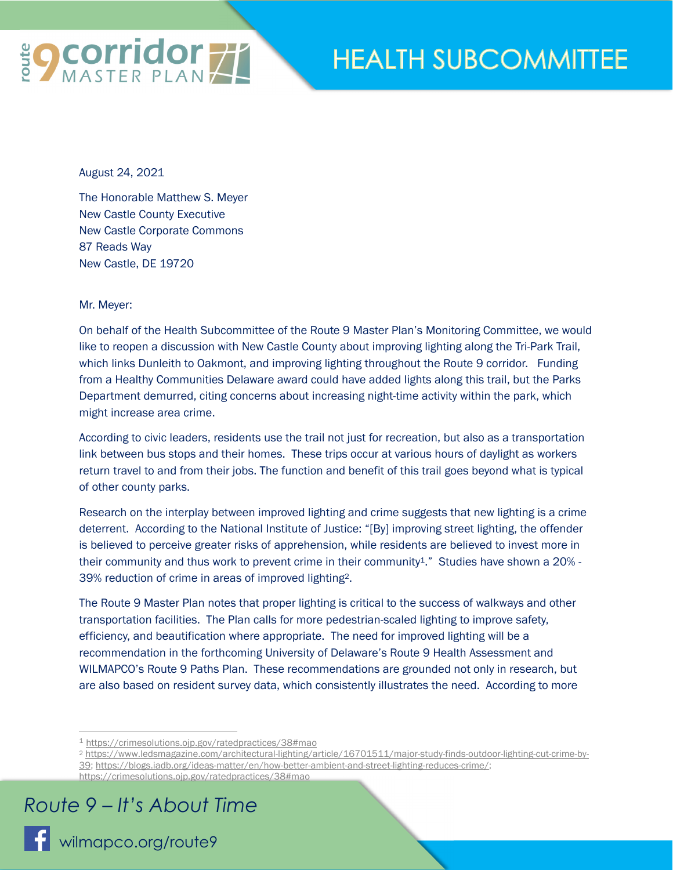

## **HEALTH SUBCOMMITTEE**

August 24, 2021

The Honorable Matthew S. Meyer New Castle County Executive New Castle Corporate Commons 87 Reads Way New Castle, DE 19720

Mr. Meyer:

On behalf of the Health Subcommittee of the Route 9 Master Plan's Monitoring Committee, we would like to reopen a discussion with New Castle County about improving lighting along the Tri-Park Trail, which links Dunleith to Oakmont, and improving lighting throughout the Route 9 corridor. Funding from a Healthy Communities Delaware award could have added lights along this trail, but the Parks Department demurred, citing concerns about increasing night-time activity within the park, which might increase area crime.

According to civic leaders, residents use the trail not just for recreation, but also as a transportation link between bus stops and their homes. These trips occur at various hours of daylight as workers return travel to and from their jobs. The function and benefit of this trail goes beyond what is typical of other county parks.

Research on the interplay between improved lighting and crime suggests that new lighting is a crime deterrent. According to the National Institute of Justice: "[By] improving street lighting, the offender is believed to perceive greater risks of apprehension, while residents are believed to invest more in their community and thus work to prevent crime in their community<sup>1</sup>." Studies have shown a 20% -39% reduction of crime in areas of improved lighting2.

The Route 9 Master Plan notes that proper lighting is critical to the success of walkways and other transportation facilities. The Plan calls for more pedestrian-scaled lighting to improve safety, efficiency, and beautification where appropriate. The need for improved lighting will be a recommendation in the forthcoming University of Delaware's Route 9 Health Assessment and WILMAPCO's Route 9 Paths Plan. These recommendations are grounded not only in research, but are also based on resident survey data, which consistently illustrates the need. According to more

## *Route 9 – It's About Time*

<sup>1</sup> https://crimesolutions.ojp.gov/ratedpractices/38#mao

<sup>2</sup> https://www.ledsmagazine.com/architectural-lighting/article/16701511/major-study-finds-outdoor-lighting-cut-crime-by-39; https://blogs.iadb.org/ideas-matter/en/how-better-ambient-and-street-lighting-reduces-crime/; https://crimesolutions.ojp.gov/ratedpractices/38#mao